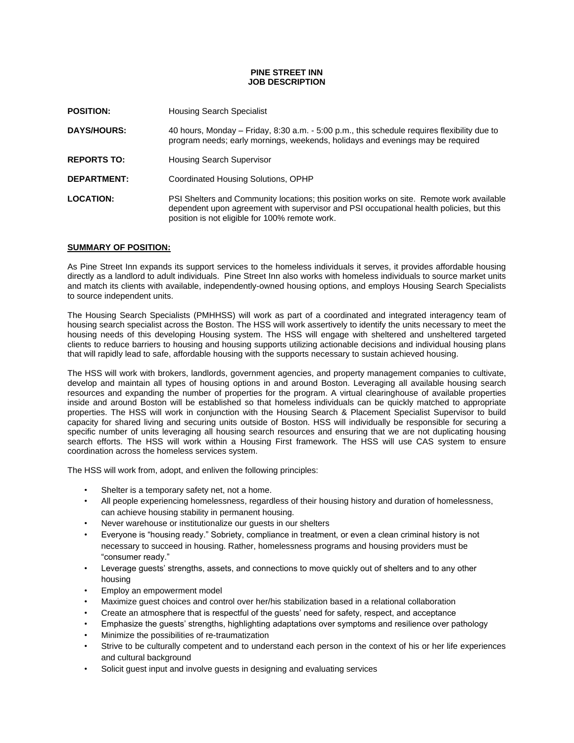### **PINE STREET INN JOB DESCRIPTION**

| <b>POSITION:</b>   | <b>Housing Search Specialist</b>                                                                                                                                                                                                      |
|--------------------|---------------------------------------------------------------------------------------------------------------------------------------------------------------------------------------------------------------------------------------|
| <b>DAYS/HOURS:</b> | 40 hours, Monday – Friday, 8:30 a.m. - 5:00 p.m., this schedule requires flexibility due to<br>program needs; early mornings, weekends, holidays and evenings may be required                                                         |
| <b>REPORTS TO:</b> | <b>Housing Search Supervisor</b>                                                                                                                                                                                                      |
| <b>DEPARTMENT:</b> | Coordinated Housing Solutions, OPHP                                                                                                                                                                                                   |
| <b>LOCATION:</b>   | PSI Shelters and Community locations; this position works on site. Remote work available<br>dependent upon agreement with supervisor and PSI occupational health policies, but this<br>position is not eligible for 100% remote work. |

### **SUMMARY OF POSITION:**

As Pine Street Inn expands its support services to the homeless individuals it serves, it provides affordable housing directly as a landlord to adult individuals. Pine Street Inn also works with homeless individuals to source market units and match its clients with available, independently-owned housing options, and employs Housing Search Specialists to source independent units.

The Housing Search Specialists (PMHHSS) will work as part of a coordinated and integrated interagency team of housing search specialist across the Boston. The HSS will work assertively to identify the units necessary to meet the housing needs of this developing Housing system. The HSS will engage with sheltered and unsheltered targeted clients to reduce barriers to housing and housing supports utilizing actionable decisions and individual housing plans that will rapidly lead to safe, affordable housing with the supports necessary to sustain achieved housing.

The HSS will work with brokers, landlords, government agencies, and property management companies to cultivate, develop and maintain all types of housing options in and around Boston. Leveraging all available housing search resources and expanding the number of properties for the program. A virtual clearinghouse of available properties inside and around Boston will be established so that homeless individuals can be quickly matched to appropriate properties. The HSS will work in conjunction with the Housing Search & Placement Specialist Supervisor to build capacity for shared living and securing units outside of Boston. HSS will individually be responsible for securing a specific number of units leveraging all housing search resources and ensuring that we are not duplicating housing search efforts. The HSS will work within a Housing First framework. The HSS will use CAS system to ensure coordination across the homeless services system.

The HSS will work from, adopt, and enliven the following principles:

- Shelter is a temporary safety net, not a home.
- All people experiencing homelessness, regardless of their housing history and duration of homelessness, can achieve housing stability in permanent housing.
- Never warehouse or institutionalize our guests in our shelters
- Everyone is "housing ready." Sobriety, compliance in treatment, or even a clean criminal history is not necessary to succeed in housing. Rather, homelessness programs and housing providers must be "consumer ready."
- Leverage guests' strengths, assets, and connections to move quickly out of shelters and to any other housing
- Employ an empowerment model
- Maximize guest choices and control over her/his stabilization based in a relational collaboration
- Create an atmosphere that is respectful of the guests' need for safety, respect, and acceptance
- Emphasize the guests' strengths, highlighting adaptations over symptoms and resilience over pathology
- Minimize the possibilities of re-traumatization
- Strive to be culturally competent and to understand each person in the context of his or her life experiences and cultural background
- Solicit guest input and involve guests in designing and evaluating services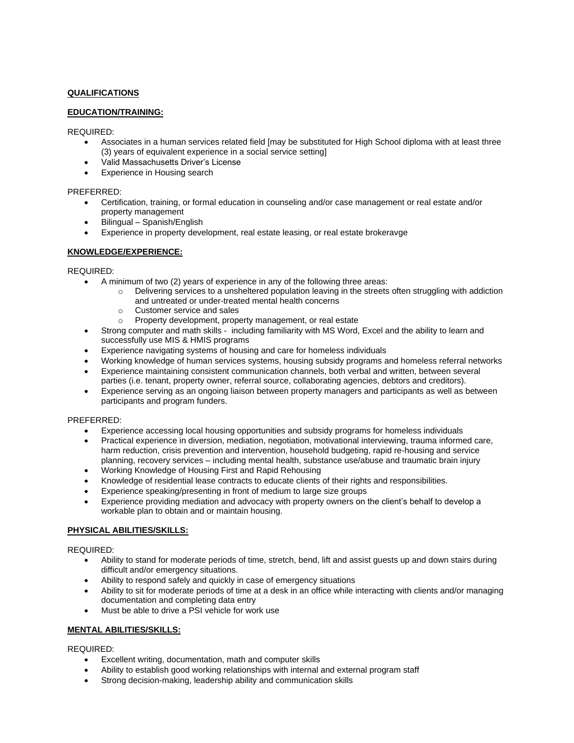# **QUALIFICATIONS**

# **EDUCATION/TRAINING:**

### REQUIRED:

- Associates in a human services related field [may be substituted for High School diploma with at least three (3) years of equivalent experience in a social service setting]
- Valid Massachusetts Driver's License
- Experience in Housing search

## PREFERRED:

- Certification, training, or formal education in counseling and/or case management or real estate and/or property management
- Bilingual Spanish/English
- Experience in property development, real estate leasing, or real estate brokeravge

## **KNOWLEDGE/EXPERIENCE:**

### REQUIRED:

- A minimum of two (2) years of experience in any of the following three areas:
	- $\circ$  Delivering services to a unsheltered population leaving in the streets often struggling with addiction and untreated or under-treated mental health concerns
	- o Customer service and sales
	- o Property development, property management, or real estate
- Strong computer and math skills including familiarity with MS Word, Excel and the ability to learn and successfully use MIS & HMIS programs
- Experience navigating systems of housing and care for homeless individuals
- Working knowledge of human services systems, housing subsidy programs and homeless referral networks
- Experience maintaining consistent communication channels, both verbal and written, between several parties (i.e. tenant, property owner, referral source, collaborating agencies, debtors and creditors).
- Experience serving as an ongoing liaison between property managers and participants as well as between participants and program funders.

### PREFERRED:

- Experience accessing local housing opportunities and subsidy programs for homeless individuals
- Practical experience in diversion, mediation, negotiation, motivational interviewing, trauma informed care, harm reduction, crisis prevention and intervention, household budgeting, rapid re-housing and service planning, recovery services – including mental health, substance use/abuse and traumatic brain injury
- Working Knowledge of Housing First and Rapid Rehousing
- Knowledge of residential lease contracts to educate clients of their rights and responsibilities.
- Experience speaking/presenting in front of medium to large size groups
- Experience providing mediation and advocacy with property owners on the client's behalf to develop a workable plan to obtain and or maintain housing.

# **PHYSICAL ABILITIES/SKILLS:**

REQUIRED:

- Ability to stand for moderate periods of time, stretch, bend, lift and assist guests up and down stairs during difficult and/or emergency situations.
- Ability to respond safely and quickly in case of emergency situations
- Ability to sit for moderate periods of time at a desk in an office while interacting with clients and/or managing documentation and completing data entry
- Must be able to drive a PSI vehicle for work use

# **MENTAL ABILITIES/SKILLS:**

REQUIRED:

- Excellent writing, documentation, math and computer skills
- Ability to establish good working relationships with internal and external program staff
- Strong decision-making, leadership ability and communication skills